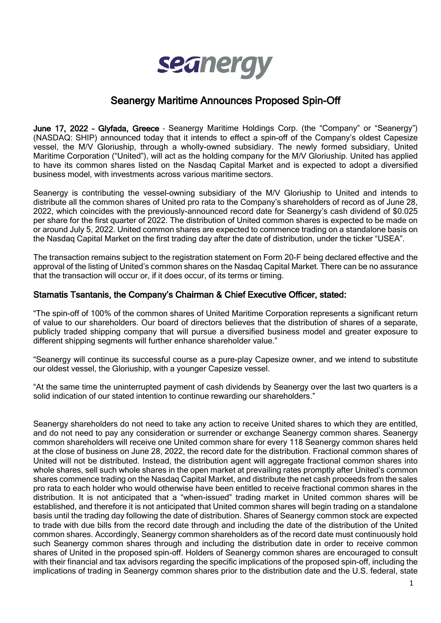

# Seanergy Maritime Announces Proposed Spin-Off

June 17, 2022 – Glyfada, Greece – Seanergy Maritime Holdings Corp. (the "Company" or "Seanergy") (NASDAQ: SHIP) announced today that it intends to effect a spin-off of the Company's oldest Capesize vessel, the M/V Gloriuship, through a wholly-owned subsidiary. The newly formed subsidiary, United Maritime Corporation ("United"), will act as the holding company for the M/V Gloriuship. United has applied to have its common shares listed on the Nasdaq Capital Market and is expected to adopt a diversified business model, with investments across various maritime sectors.

Seanergy is contributing the vessel-owning subsidiary of the M/V Gloriuship to United and intends to distribute all the common shares of United pro rata to the Company's shareholders of record as of June 28, 2022, which coincides with the previously-announced record date for Seanergy's cash dividend of \$0.025 per share for the first quarter of 2022. The distribution of United common shares is expected to be made on or around July 5, 2022. United common shares are expected to commence trading on a standalone basis on the Nasdaq Capital Market on the first trading day after the date of distribution, under the ticker "USEA".

The transaction remains subject to the registration statement on Form 20-F being declared effective and the approval of the listing of United's common shares on the Nasdaq Capital Market. There can be no assurance that the transaction will occur or, if it does occur, of its terms or timing.

### Stamatis Tsantanis, the Company's Chairman & Chief Executive Officer, stated:

"The spin-off of 100% of the common shares of United Maritime Corporation represents a significant return of value to our shareholders. Our board of directors believes that the distribution of shares of a separate, publicly traded shipping company that will pursue a diversified business model and greater exposure to different shipping segments will further enhance shareholder value."

"Seanergy will continue its successful course as a pure-play Capesize owner, and we intend to substitute our oldest vessel, the Gloriuship, with a younger Capesize vessel.

"At the same time the uninterrupted payment of cash dividends by Seanergy over the last two quarters is a solid indication of our stated intention to continue rewarding our shareholders."

Seanergy shareholders do not need to take any action to receive United shares to which they are entitled, and do not need to pay any consideration or surrender or exchange Seanergy common shares. Seanergy common shareholders will receive one United common share for every 118 Seanergy common shares held at the close of business on June 28, 2022, the record date for the distribution. Fractional common shares of United will not be distributed. Instead, the distribution agent will aggregate fractional common shares into whole shares, sell such whole shares in the open market at prevailing rates promptly after United's common shares commence trading on the Nasdaq Capital Market, and distribute the net cash proceeds from the sales pro rata to each holder who would otherwise have been entitled to receive fractional common shares in the distribution. It is not anticipated that a "when-issued" trading market in United common shares will be established, and therefore it is not anticipated that United common shares will begin trading on a standalone basis until the trading day following the date of distribution. Shares of Seanergy common stock are expected to trade with due bills from the record date through and including the date of the distribution of the United common shares. Accordingly, Seanergy common shareholders as of the record date must continuously hold such Seanergy common shares through and including the distribution date in order to receive common shares of United in the proposed spin-off. Holders of Seanergy common shares are encouraged to consult with their financial and tax advisors regarding the specific implications of the proposed spin-off, including the implications of trading in Seanergy common shares prior to the distribution date and the U.S. federal, state